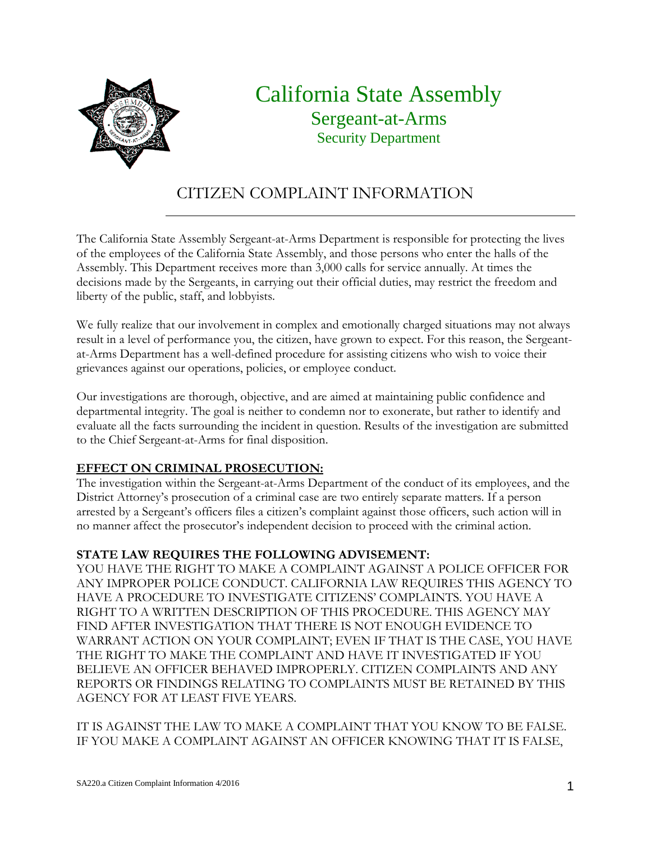

# California State Assembly Sergeant-at-Arms Security Department

### CITIZEN COMPLAINT INFORMATION

The California State Assembly Sergeant-at-Arms Department is responsible for protecting the lives of the employees of the California State Assembly, and those persons who enter the halls of the Assembly. This Department receives more than 3,000 calls for service annually. At times the decisions made by the Sergeants, in carrying out their official duties, may restrict the freedom and liberty of the public, staff, and lobbyists.

We fully realize that our involvement in complex and emotionally charged situations may not always result in a level of performance you, the citizen, have grown to expect. For this reason, the Sergeantat-Arms Department has a well-defined procedure for assisting citizens who wish to voice their grievances against our operations, policies, or employee conduct.

Our investigations are thorough, objective, and are aimed at maintaining public confidence and departmental integrity. The goal is neither to condemn nor to exonerate, but rather to identify and evaluate all the facts surrounding the incident in question. Results of the investigation are submitted to the Chief Sergeant-at-Arms for final disposition.

### **EFFECT ON CRIMINAL PROSECUTION:**

The investigation within the Sergeant-at-Arms Department of the conduct of its employees, and the District Attorney's prosecution of a criminal case are two entirely separate matters. If a person arrested by a Sergeant's officers files a citizen's complaint against those officers, such action will in no manner affect the prosecutor's independent decision to proceed with the criminal action.

#### **STATE LAW REQUIRES THE FOLLOWING ADVISEMENT:**

YOU HAVE THE RIGHT TO MAKE A COMPLAINT AGAINST A POLICE OFFICER FOR ANY IMPROPER POLICE CONDUCT. CALIFORNIA LAW REQUIRES THIS AGENCY TO HAVE A PROCEDURE TO INVESTIGATE CITIZENS' COMPLAINTS. YOU HAVE A RIGHT TO A WRITTEN DESCRIPTION OF THIS PROCEDURE. THIS AGENCY MAY FIND AFTER INVESTIGATION THAT THERE IS NOT ENOUGH EVIDENCE TO WARRANT ACTION ON YOUR COMPLAINT; EVEN IF THAT IS THE CASE, YOU HAVE THE RIGHT TO MAKE THE COMPLAINT AND HAVE IT INVESTIGATED IF YOU BELIEVE AN OFFICER BEHAVED IMPROPERLY. CITIZEN COMPLAINTS AND ANY REPORTS OR FINDINGS RELATING TO COMPLAINTS MUST BE RETAINED BY THIS AGENCY FOR AT LEAST FIVE YEARS.

IT IS AGAINST THE LAW TO MAKE A COMPLAINT THAT YOU KNOW TO BE FALSE. IF YOU MAKE A COMPLAINT AGAINST AN OFFICER KNOWING THAT IT IS FALSE,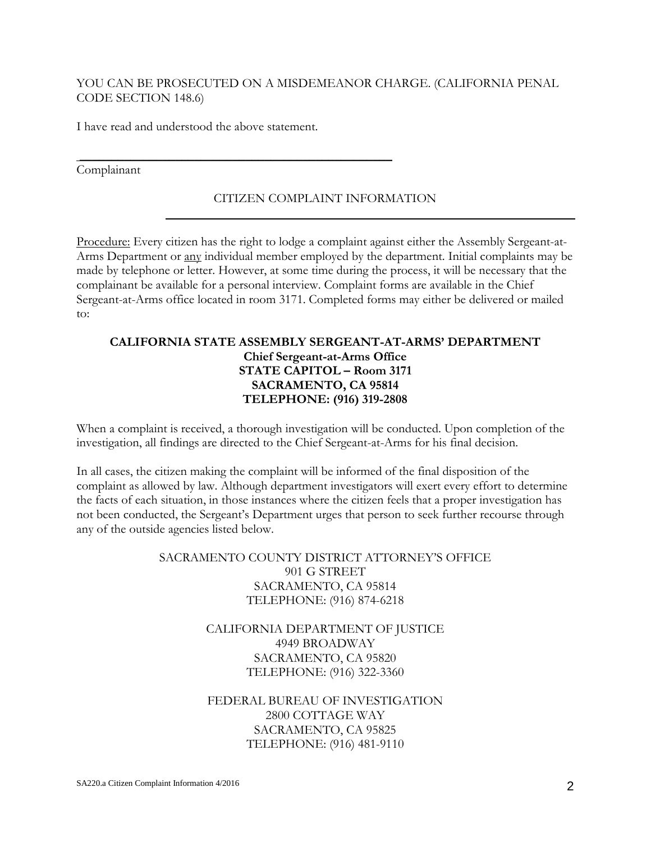#### YOU CAN BE PROSECUTED ON A MISDEMEANOR CHARGE. (CALIFORNIA PENAL CODE SECTION 148.6)

I have read and understood the above statement.

 $\frac{1}{2}$  ,  $\frac{1}{2}$  ,  $\frac{1}{2}$  ,  $\frac{1}{2}$  ,  $\frac{1}{2}$  ,  $\frac{1}{2}$  ,  $\frac{1}{2}$  ,  $\frac{1}{2}$  ,  $\frac{1}{2}$  ,  $\frac{1}{2}$  ,  $\frac{1}{2}$  ,  $\frac{1}{2}$  ,  $\frac{1}{2}$  ,  $\frac{1}{2}$  ,  $\frac{1}{2}$  ,  $\frac{1}{2}$  ,  $\frac{1}{2}$  ,  $\frac{1}{2}$  ,  $\frac{1$ 

#### Complainant

#### CITIZEN COMPLAINT INFORMATION

Procedure: Every citizen has the right to lodge a complaint against either the Assembly Sergeant-at-Arms Department or any individual member employed by the department. Initial complaints may be made by telephone or letter. However, at some time during the process, it will be necessary that the complainant be available for a personal interview. Complaint forms are available in the Chief Sergeant-at-Arms office located in room 3171. Completed forms may either be delivered or mailed to:

#### **CALIFORNIA STATE ASSEMBLY SERGEANT-AT-ARMS' DEPARTMENT Chief Sergeant-at-Arms Office STATE CAPITOL – Room 3171 SACRAMENTO, CA 95814 TELEPHONE: (916) 319-2808**

When a complaint is received, a thorough investigation will be conducted. Upon completion of the investigation, all findings are directed to the Chief Sergeant-at-Arms for his final decision.

In all cases, the citizen making the complaint will be informed of the final disposition of the complaint as allowed by law. Although department investigators will exert every effort to determine the facts of each situation, in those instances where the citizen feels that a proper investigation has not been conducted, the Sergeant's Department urges that person to seek further recourse through any of the outside agencies listed below.

#### SACRAMENTO COUNTY DISTRICT ATTORNEY'S OFFICE 901 G STREET SACRAMENTO, CA 95814 TELEPHONE: (916) 874-6218

CALIFORNIA DEPARTMENT OF JUSTICE 4949 BROADWAY SACRAMENTO, CA 95820 TELEPHONE: (916) 322-3360

#### FEDERAL BUREAU OF INVESTIGATION 2800 COTTAGE WAY SACRAMENTO, CA 95825 TELEPHONE: (916) 481-9110